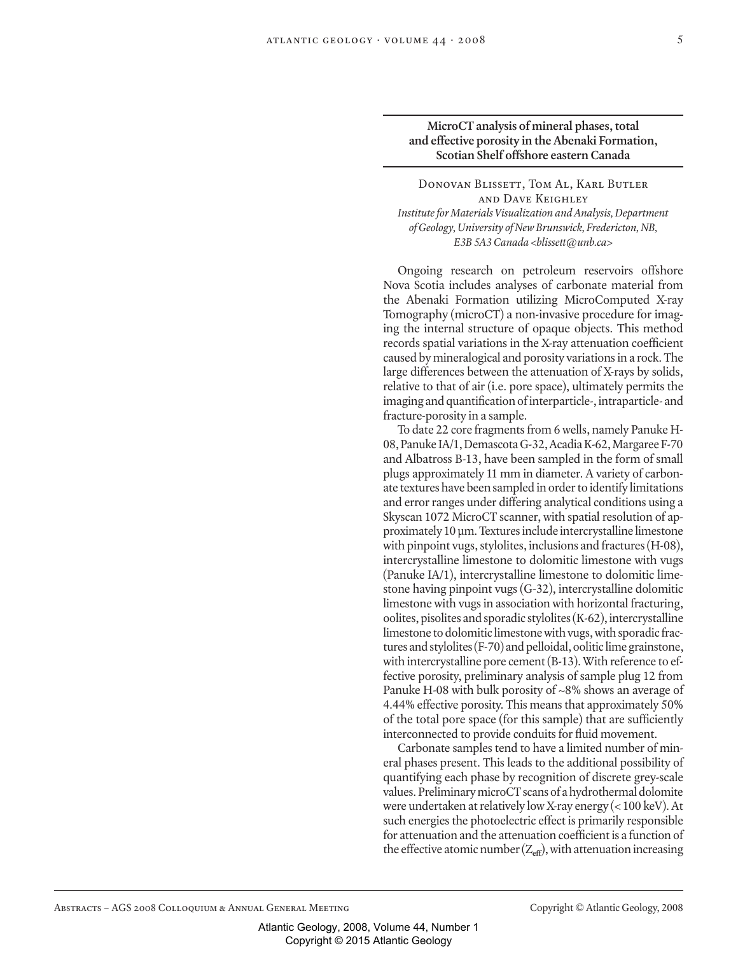## **MicroCT analysis of mineral phases, total and effective porosity in the Abenaki Formation, Scotian Shelf offshore eastern Canada**

DONOVAN BLISSETT, TOM AL, KARL BUTLER and Dave Keighley *Institute for Materials Visualization and Analysis, Department of Geology, University of New Brunswick, Fredericton, NB, E3B 5A3 Canada <blissett@unb.ca>*

Ongoing research on petroleum reservoirs offshore Nova Scotia includes analyses of carbonate material from the Abenaki Formation utilizing MicroComputed X-ray Tomography (microCT) a non-invasive procedure for imaging the internal structure of opaque objects. This method records spatial variations in the X-ray attenuation coefficient caused by mineralogical and porosity variations in a rock. The large differences between the attenuation of X-rays by solids, relative to that of air (i.e. pore space), ultimately permits the imaging and quantification of interparticle-, intraparticle- and fracture-porosity in a sample.

To date 22 core fragments from 6 wells, namely Panuke H-08, Panuke IA/1, Demascota G-32, Acadia K-62, Margaree F-70 and Albatross B-13, have been sampled in the form of small plugs approximately 11 mm in diameter. A variety of carbonate textures have been sampled in order to identify limitations and error ranges under differing analytical conditions using a Skyscan 1072 MicroCT scanner, with spatial resolution of approximately 10 µm. Textures include intercrystalline limestone with pinpoint vugs, stylolites, inclusions and fractures (H-08), intercrystalline limestone to dolomitic limestone with vugs (Panuke IA/1), intercrystalline limestone to dolomitic limestone having pinpoint vugs (G-32), intercrystalline dolomitic limestone with vugs in association with horizontal fracturing, oolites, pisolites and sporadic stylolites (K-62), intercrystalline limestone to dolomitic limestone with vugs, with sporadic fractures and stylolites (F-70) and pelloidal, oolitic lime grainstone, with intercrystalline pore cement (B-13). With reference to effective porosity, preliminary analysis of sample plug 12 from Panuke H-08 with bulk porosity of ~8% shows an average of 4.44% effective porosity. This means that approximately 50% of the total pore space (for this sample) that are sufficiently interconnected to provide conduits for fluid movement.

Carbonate samples tend to have a limited number of mineral phases present. This leads to the additional possibility of quantifying each phase by recognition of discrete grey-scale values. Preliminary microCT scans of a hydrothermal dolomite were undertaken at relatively low X-ray energy (< 100 keV). At such energies the photoelectric effect is primarily responsible for attenuation and the attenuation coefficient is a function of the effective atomic number  $(Z_{\text{eff}})$ , with attenuation increasing